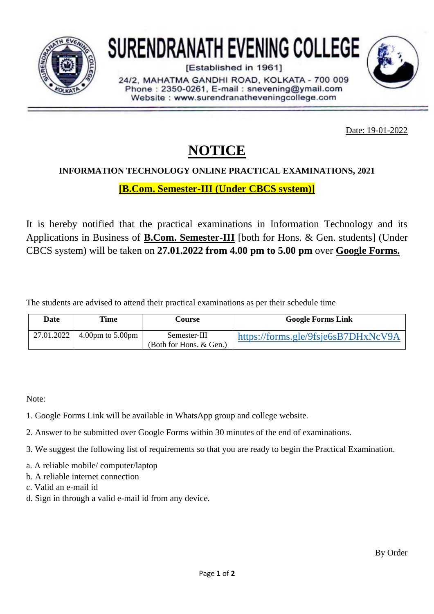

# **SURENDRANATH EVENING COLLEGE**

[Established in 1961]

24/2. MAHATMA GANDHI ROAD, KOLKATA - 700 009 Phone: 2350-0261, E-mail: snevening@ymail.com Website: www.surendranatheveningcollege.com

Date: 19-01-2022

## **NOTICE**

#### **INFORMATION TECHNOLOGY ONLINE PRACTICAL EXAMINATIONS, 2021**

**[B.Com. Semester-III (Under CBCS system)]**

It is hereby notified that the practical examinations in Information Technology and its Applications in Business of **B.Com. Semester-III** [both for Hons. & Gen. students] (Under CBCS system) will be taken on **27.01.2022 from 4.00 pm to 5.00 pm** over **Google Forms.**

The students are advised to attend their practical examinations as per their schedule time

| Date       | Time                                 | Course                                     | <b>Google Forms Link</b>            |
|------------|--------------------------------------|--------------------------------------------|-------------------------------------|
| 27.01.2022 | $4.00 \text{pm}$ to $5.00 \text{pm}$ | Semester-III<br>(Both for Hons. $& Gen.$ ) | https://forms.gle/9fsje6sB7DHxNcV9A |

Note:

- 1. Google Forms Link will be available in WhatsApp group and college website.
- 2. Answer to be submitted over Google Forms within 30 minutes of the end of examinations.
- 3. We suggest the following list of requirements so that you are ready to begin the Practical Examination.
- a. A reliable mobile/ computer/laptop
- b. A reliable internet connection
- c. Valid an e-mail id
- d. Sign in through a valid e-mail id from any device.